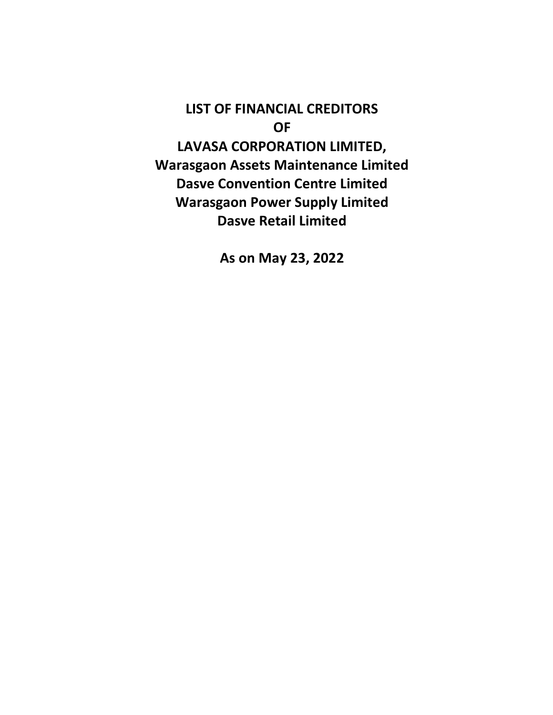LIST OF FINANCIAL CREDITORS OF LAVASA CORPORATION LIMITED, Warasgaon Assets Maintenance Limited Dasve Convention Centre Limited Warasgaon Power Supply Limited Dasve Retail Limited

As on May 23, 2022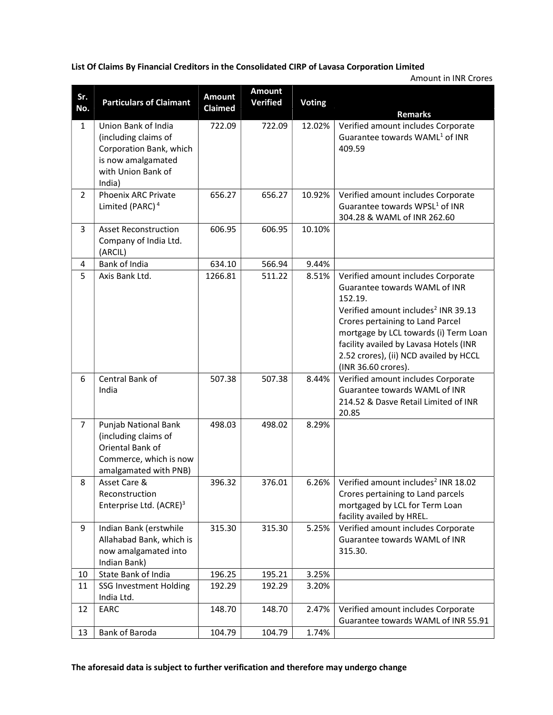List Of Claims By Financial Creditors in the Consolidated CIRP of Lavasa Corporation Limited

Amount in INR Crores

| Sr.<br>No.     | <b>Particulars of Claimant</b>                                                                                               | <b>Amount</b><br>Claimed | <b>Amount</b><br><b>Verified</b> | <b>Voting</b> | <b>Remarks</b>                                                                                                                                                                                                                                                                                                            |
|----------------|------------------------------------------------------------------------------------------------------------------------------|--------------------------|----------------------------------|---------------|---------------------------------------------------------------------------------------------------------------------------------------------------------------------------------------------------------------------------------------------------------------------------------------------------------------------------|
| 1              | Union Bank of India<br>(including claims of<br>Corporation Bank, which<br>is now amalgamated<br>with Union Bank of<br>India) | 722.09                   | 722.09                           | 12.02%        | Verified amount includes Corporate<br>Guarantee towards WAML <sup>1</sup> of INR<br>409.59                                                                                                                                                                                                                                |
| $\overline{2}$ | <b>Phoenix ARC Private</b><br>Limited (PARC) <sup>4</sup>                                                                    | 656.27                   | 656.27                           | 10.92%        | Verified amount includes Corporate<br>Guarantee towards WPSL <sup>1</sup> of INR<br>304.28 & WAML of INR 262.60                                                                                                                                                                                                           |
| 3              | <b>Asset Reconstruction</b><br>Company of India Ltd.<br>(ARCIL)                                                              | 606.95                   | 606.95                           | 10.10%        |                                                                                                                                                                                                                                                                                                                           |
| 4              | Bank of India                                                                                                                | 634.10                   | 566.94                           | 9.44%         |                                                                                                                                                                                                                                                                                                                           |
| 5              | Axis Bank Ltd.                                                                                                               | 1266.81                  | 511.22                           | 8.51%         | Verified amount includes Corporate<br>Guarantee towards WAML of INR<br>152.19.<br>Verified amount includes <sup>2</sup> INR 39.13<br>Crores pertaining to Land Parcel<br>mortgage by LCL towards (i) Term Loan<br>facility availed by Lavasa Hotels (INR<br>2.52 crores), (ii) NCD availed by HCCL<br>(INR 36.60 crores). |
| 6              | Central Bank of<br>India                                                                                                     | 507.38                   | 507.38                           | 8.44%         | Verified amount includes Corporate<br>Guarantee towards WAML of INR<br>214.52 & Dasve Retail Limited of INR<br>20.85                                                                                                                                                                                                      |
| $\overline{7}$ | Punjab National Bank<br>(including claims of<br>Oriental Bank of<br>Commerce, which is now<br>amalgamated with PNB)          | 498.03                   | 498.02                           | 8.29%         |                                                                                                                                                                                                                                                                                                                           |
| 8              | Asset Care &<br>Reconstruction<br>Enterprise Ltd. (ACRE) <sup>3</sup>                                                        | 396.32                   | 376.01                           | 6.26%         | Verified amount includes <sup>2</sup> INR 18.02<br>Crores pertaining to Land parcels<br>mortgaged by LCL for Term Loan<br>facility availed by HREL.                                                                                                                                                                       |
| 9              | Indian Bank (erstwhile<br>Allahabad Bank, which is<br>now amalgamated into<br>Indian Bank)                                   | 315.30                   | 315.30                           | 5.25%         | Verified amount includes Corporate<br>Guarantee towards WAML of INR<br>315.30.                                                                                                                                                                                                                                            |
| 10             | State Bank of India                                                                                                          | 196.25                   | 195.21                           | 3.25%         |                                                                                                                                                                                                                                                                                                                           |
| 11             | <b>SSG Investment Holding</b><br>India Ltd.                                                                                  | 192.29                   | 192.29                           | 3.20%         |                                                                                                                                                                                                                                                                                                                           |
| 12             | EARC                                                                                                                         | 148.70                   | 148.70                           | 2.47%         | Verified amount includes Corporate<br>Guarantee towards WAML of INR 55.91                                                                                                                                                                                                                                                 |
| 13             | Bank of Baroda                                                                                                               | 104.79                   | 104.79                           | 1.74%         |                                                                                                                                                                                                                                                                                                                           |

The aforesaid data is subject to further verification and therefore may undergo change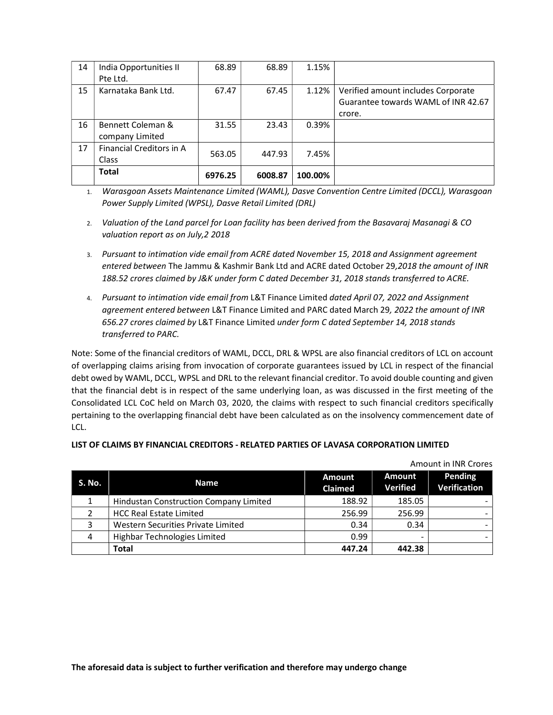| 14 | India Opportunities II   | 68.89   | 68.89   | 1.15%   |                                     |
|----|--------------------------|---------|---------|---------|-------------------------------------|
|    | Pte Ltd.                 |         |         |         |                                     |
| 15 | Karnataka Bank Ltd.      | 67.47   | 67.45   | 1.12%   | Verified amount includes Corporate  |
|    |                          |         |         |         | Guarantee towards WAML of INR 42.67 |
|    |                          |         |         |         | crore.                              |
| 16 | Bennett Coleman &        | 31.55   | 23.43   | 0.39%   |                                     |
|    | company Limited          |         |         |         |                                     |
| 17 | Financial Creditors in A | 563.05  | 447.93  | 7.45%   |                                     |
|    | Class                    |         |         |         |                                     |
|    | <b>Total</b>             | 6976.25 | 6008.87 | 100.00% |                                     |

1. Warasgoan Assets Maintenance Limited (WAML), Dasve Convention Centre Limited (DCCL), Warasgoan Power Supply Limited (WPSL), Dasve Retail Limited (DRL)

- 2. Valuation of the Land parcel for Loan facility has been derived from the Basavaraj Masanagi & CO valuation report as on July,2 2018
- 3. Pursuant to intimation vide email from ACRE dated November 15, 2018 and Assignment agreement entered between The Jammu & Kashmir Bank Ltd and ACRE dated October 29,2018 the amount of INR 188.52 crores claimed by J&K under form C dated December 31, 2018 stands transferred to ACRE.
- 4. Pursuant to intimation vide email from L&T Finance Limited dated April 07, 2022 and Assignment agreement entered between L&T Finance Limited and PARC dated March 29, 2022 the amount of INR 656.27 crores claimed by L&T Finance Limited under form C dated September 14, 2018 stands transferred to PARC.

Note: Some of the financial creditors of WAML, DCCL, DRL & WPSL are also financial creditors of LCL on account of overlapping claims arising from invocation of corporate guarantees issued by LCL in respect of the financial debt owed by WAML, DCCL, WPSL and DRL to the relevant financial creditor. To avoid double counting and given that the financial debt is in respect of the same underlying loan, as was discussed in the first meeting of the Consolidated LCL CoC held on March 03, 2020, the claims with respect to such financial creditors specifically pertaining to the overlapping financial debt have been calculated as on the insolvency commencement date of LCL.

### LIST OF CLAIMS BY FINANCIAL CREDITORS - RELATED PARTIES OF LAVASA CORPORATION LIMITED

| S. No. | <b>Name</b>                            | <b>Amount</b><br><b>Claimed</b> | <b>Amount</b><br><b>Verified</b> | <b>Pending</b><br><b>Verification</b> |
|--------|----------------------------------------|---------------------------------|----------------------------------|---------------------------------------|
|        | Hindustan Construction Company Limited | 188.92                          | 185.05                           |                                       |
|        | <b>HCC Real Estate Limited</b>         | 256.99                          | 256.99                           |                                       |
| 3      | Western Securities Private Limited     | 0.34                            | 0.34                             |                                       |
| 4      | Highbar Technologies Limited           | 0.99                            | ۰                                |                                       |
|        | <b>Total</b>                           | 447.24                          | 442.38                           |                                       |

Amount in INR Crores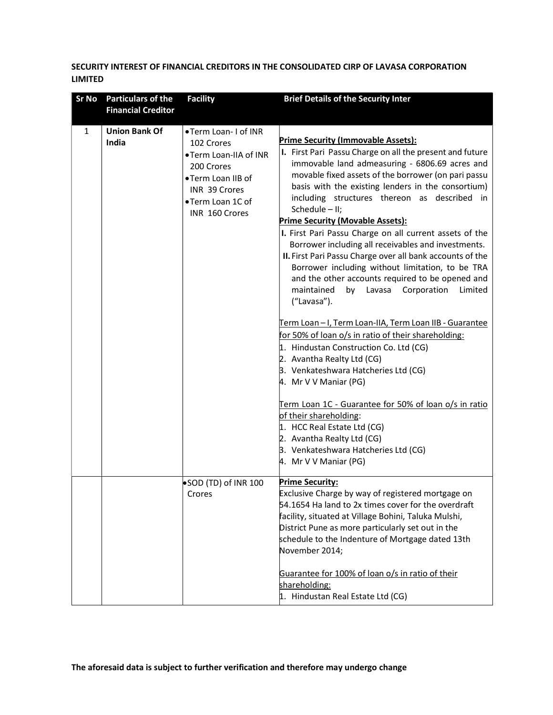# SECURITY INTEREST OF FINANCIAL CREDITORS IN THE CONSOLIDATED CIRP OF LAVASA CORPORATION LIMITED

| <b>Sr No</b> | <b>Particulars of the</b>     | <b>Facility</b>                                                                                                                                       | <b>Brief Details of the Security Inter</b>                                                                                                                                                                                                                                                                                                                                                                                                                                                                                                                                                                                                                                                                                                                                                                                                                                                                                                                                                                                                                                                                                                                                                                               |
|--------------|-------------------------------|-------------------------------------------------------------------------------------------------------------------------------------------------------|--------------------------------------------------------------------------------------------------------------------------------------------------------------------------------------------------------------------------------------------------------------------------------------------------------------------------------------------------------------------------------------------------------------------------------------------------------------------------------------------------------------------------------------------------------------------------------------------------------------------------------------------------------------------------------------------------------------------------------------------------------------------------------------------------------------------------------------------------------------------------------------------------------------------------------------------------------------------------------------------------------------------------------------------------------------------------------------------------------------------------------------------------------------------------------------------------------------------------|
|              | <b>Financial Creditor</b>     |                                                                                                                                                       |                                                                                                                                                                                                                                                                                                                                                                                                                                                                                                                                                                                                                                                                                                                                                                                                                                                                                                                                                                                                                                                                                                                                                                                                                          |
| 1            | <b>Union Bank Of</b><br>India | •Term Loan-I of INR<br>102 Crores<br>. Term Loan-IIA of INR<br>200 Crores<br>•Term Loan IIB of<br>INR 39 Crores<br>•Term Loan 1C of<br>INR 160 Crores | <b>Prime Security (Immovable Assets):</b><br>I. First Pari Passu Charge on all the present and future<br>immovable land admeasuring - 6806.69 acres and<br>movable fixed assets of the borrower (on pari passu<br>basis with the existing lenders in the consortium)<br>including structures thereon as described in<br>Schedule - II;<br><b>Prime Security (Movable Assets):</b><br>I. First Pari Passu Charge on all current assets of the<br>Borrower including all receivables and investments.<br>II. First Pari Passu Charge over all bank accounts of the<br>Borrower including without limitation, to be TRA<br>and the other accounts required to be opened and<br>maintained<br>by Lavasa<br>Corporation<br>Limited<br>("Lavasa").<br>Term Loan - I, Term Loan-IIA, Term Loan IIB - Guarantee<br>for 50% of loan o/s in ratio of their shareholding:<br>1. Hindustan Construction Co. Ltd (CG)<br>2. Avantha Realty Ltd (CG)<br>3. Venkateshwara Hatcheries Ltd (CG)<br>4. Mr V V Maniar (PG)<br>Term Loan 1C - Guarantee for 50% of loan o/s in ratio<br>of their shareholding:<br>1. HCC Real Estate Ltd (CG)<br>2. Avantha Realty Ltd (CG)<br>3. Venkateshwara Hatcheries Ltd (CG)<br>4. Mr V V Maniar (PG) |
|              |                               | SOD (TD) of INR 100<br>Crores                                                                                                                         | <b>Prime Security:</b><br>Exclusive Charge by way of registered mortgage on<br>54.1654 Ha land to 2x times cover for the overdraft<br>facility, situated at Village Bohini, Taluka Mulshi,<br>District Pune as more particularly set out in the<br>schedule to the Indenture of Mortgage dated 13th<br>November 2014;<br>Guarantee for 100% of loan o/s in ratio of their<br>shareholding:<br>1. Hindustan Real Estate Ltd (CG)                                                                                                                                                                                                                                                                                                                                                                                                                                                                                                                                                                                                                                                                                                                                                                                          |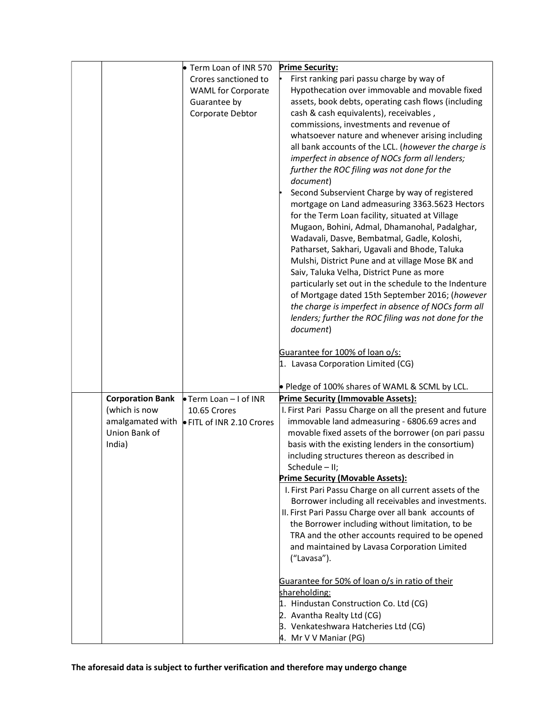|                         | Term Loan of INR 570      | <b>Prime Security:</b>                                                                                       |
|-------------------------|---------------------------|--------------------------------------------------------------------------------------------------------------|
|                         | Crores sanctioned to      | First ranking pari passu charge by way of                                                                    |
|                         | <b>WAML for Corporate</b> | Hypothecation over immovable and movable fixed                                                               |
|                         | Guarantee by              | assets, book debts, operating cash flows (including                                                          |
|                         | Corporate Debtor          | cash & cash equivalents), receivables,                                                                       |
|                         |                           | commissions, investments and revenue of                                                                      |
|                         |                           | whatsoever nature and whenever arising including                                                             |
|                         |                           | all bank accounts of the LCL. (however the charge is                                                         |
|                         |                           | imperfect in absence of NOCs form all lenders;                                                               |
|                         |                           | further the ROC filing was not done for the                                                                  |
|                         |                           | document)                                                                                                    |
|                         |                           | Second Subservient Charge by way of registered                                                               |
|                         |                           | mortgage on Land admeasuring 3363.5623 Hectors                                                               |
|                         |                           | for the Term Loan facility, situated at Village                                                              |
|                         |                           | Mugaon, Bohini, Admal, Dhamanohal, Padalghar,                                                                |
|                         |                           | Wadavali, Dasve, Bembatmal, Gadle, Koloshi,                                                                  |
|                         |                           | Patharset, Sakhari, Ugavali and Bhode, Taluka                                                                |
|                         |                           | Mulshi, District Pune and at village Mose BK and                                                             |
|                         |                           | Saiv, Taluka Velha, District Pune as more                                                                    |
|                         |                           | particularly set out in the schedule to the Indenture                                                        |
|                         |                           | of Mortgage dated 15th September 2016; (however                                                              |
|                         |                           | the charge is imperfect in absence of NOCs form all                                                          |
|                         |                           | lenders; further the ROC filing was not done for the                                                         |
|                         |                           | document)                                                                                                    |
|                         |                           | Guarantee for 100% of loan o/s:                                                                              |
|                         |                           | 1. Lavasa Corporation Limited (CG)                                                                           |
|                         |                           |                                                                                                              |
|                         |                           | • Pledge of 100% shares of WAML & SCML by LCL.                                                               |
| <b>Corporation Bank</b> | Term Loan - I of INR      | <b>Prime Security (Immovable Assets):</b>                                                                    |
| (which is now           | 10.65 Crores              | I. First Pari Passu Charge on all the present and future                                                     |
| amalgamated with        | FITL of INR 2.10 Crores   | immovable land admeasuring - 6806.69 acres and                                                               |
| Union Bank of           |                           | movable fixed assets of the borrower (on pari passu                                                          |
| India)                  |                           | basis with the existing lenders in the consortium)                                                           |
|                         |                           | including structures thereon as described in                                                                 |
|                         |                           | Schedule - II;                                                                                               |
|                         |                           | <b>Prime Security (Movable Assets):</b>                                                                      |
|                         |                           | I. First Pari Passu Charge on all current assets of the                                                      |
|                         |                           | Borrower including all receivables and investments.<br>II. First Pari Passu Charge over all bank accounts of |
|                         |                           | the Borrower including without limitation, to be                                                             |
|                         |                           | TRA and the other accounts required to be opened                                                             |
|                         |                           | and maintained by Lavasa Corporation Limited                                                                 |
|                         |                           | ("Lavasa").                                                                                                  |
|                         |                           |                                                                                                              |
|                         |                           | Guarantee for 50% of loan o/s in ratio of their                                                              |
|                         |                           | shareholding:                                                                                                |
|                         |                           | 1. Hindustan Construction Co. Ltd (CG)                                                                       |
|                         |                           | 2. Avantha Realty Ltd (CG)                                                                                   |
|                         |                           | 3. Venkateshwara Hatcheries Ltd (CG)                                                                         |
|                         |                           | 4. Mr V V Maniar (PG)                                                                                        |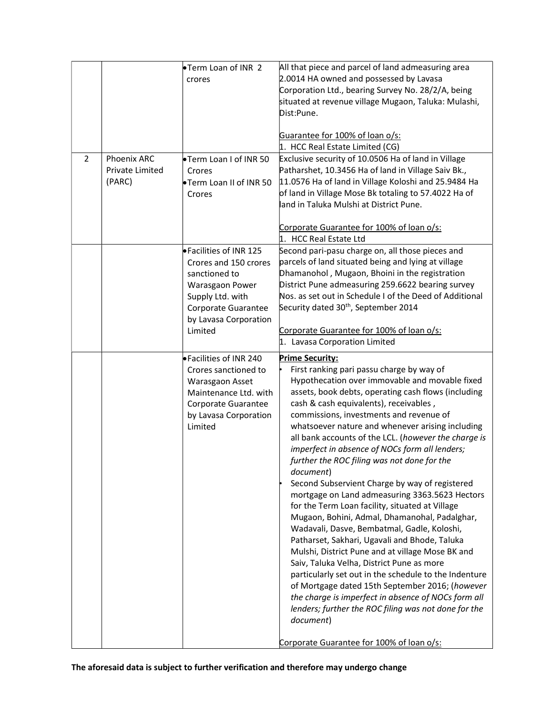| $\overline{2}$ | <b>Phoenix ARC</b><br>Private Limited<br>(PARC) | Term Loan of INR 2<br>crores<br><b>•Term Loan I of INR 50</b><br>Crores<br>Term Loan II of INR 50<br>Crores                                                         | All that piece and parcel of land admeasuring area<br>2.0014 HA owned and possessed by Lavasa<br>Corporation Ltd., bearing Survey No. 28/2/A, being<br>situated at revenue village Mugaon, Taluka: Mulashi,<br>Dist:Pune.<br>Guarantee for 100% of loan o/s:<br>1. HCC Real Estate Limited (CG)<br>Exclusive security of 10.0506 Ha of land in Village<br>Patharshet, 10.3456 Ha of land in Village Saiv Bk.,<br>11.0576 Ha of land in Village Koloshi and 25.9484 Ha<br>of land in Village Mose Bk totaling to 57.4022 Ha of<br>land in Taluka Mulshi at District Pune.                                                                                                                                                                                                                                                                                                                                                                                                                                                                                                                                                                                                                  |
|----------------|-------------------------------------------------|---------------------------------------------------------------------------------------------------------------------------------------------------------------------|-------------------------------------------------------------------------------------------------------------------------------------------------------------------------------------------------------------------------------------------------------------------------------------------------------------------------------------------------------------------------------------------------------------------------------------------------------------------------------------------------------------------------------------------------------------------------------------------------------------------------------------------------------------------------------------------------------------------------------------------------------------------------------------------------------------------------------------------------------------------------------------------------------------------------------------------------------------------------------------------------------------------------------------------------------------------------------------------------------------------------------------------------------------------------------------------|
|                |                                                 | ● Facilities of INR 125<br>Crores and 150 crores<br>sanctioned to<br>Warasgaon Power<br>Supply Ltd. with<br>Corporate Guarantee<br>by Lavasa Corporation<br>Limited | Corporate Guarantee for 100% of loan o/s:<br>1. HCC Real Estate Ltd<br>Second pari-pasu charge on, all those pieces and<br>parcels of land situated being and lying at village<br>Dhamanohol, Mugaon, Bhoini in the registration<br>District Pune admeasuring 259.6622 bearing survey<br>Nos. as set out in Schedule I of the Deed of Additional<br>Security dated 30 <sup>th</sup> , September 2014<br>Corporate Guarantee for 100% of loan o/s:<br>1. Lavasa Corporation Limited                                                                                                                                                                                                                                                                                                                                                                                                                                                                                                                                                                                                                                                                                                        |
|                |                                                 | • Facilities of INR 240<br>Crores sanctioned to<br>Warasgaon Asset<br>Maintenance Ltd. with<br>Corporate Guarantee<br>by Lavasa Corporation<br>Limited              | <b>Prime Security:</b><br>First ranking pari passu charge by way of<br>Hypothecation over immovable and movable fixed<br>assets, book debts, operating cash flows (including<br>cash & cash equivalents), receivables,<br>commissions, investments and revenue of<br>whatsoever nature and whenever arising including<br>all bank accounts of the LCL. (however the charge is<br>imperfect in absence of NOCs form all lenders;<br>further the ROC filing was not done for the<br>document)<br>Second Subservient Charge by way of registered<br>mortgage on Land admeasuring 3363.5623 Hectors<br>for the Term Loan facility, situated at Village<br>Mugaon, Bohini, Admal, Dhamanohal, Padalghar,<br>Wadavali, Dasve, Bembatmal, Gadle, Koloshi,<br>Patharset, Sakhari, Ugavali and Bhode, Taluka<br>Mulshi, District Pune and at village Mose BK and<br>Saiv, Taluka Velha, District Pune as more<br>particularly set out in the schedule to the Indenture<br>of Mortgage dated 15th September 2016; (however<br>the charge is imperfect in absence of NOCs form all<br>lenders; further the ROC filing was not done for the<br>document)<br>Corporate Guarantee for 100% of loan o/s: |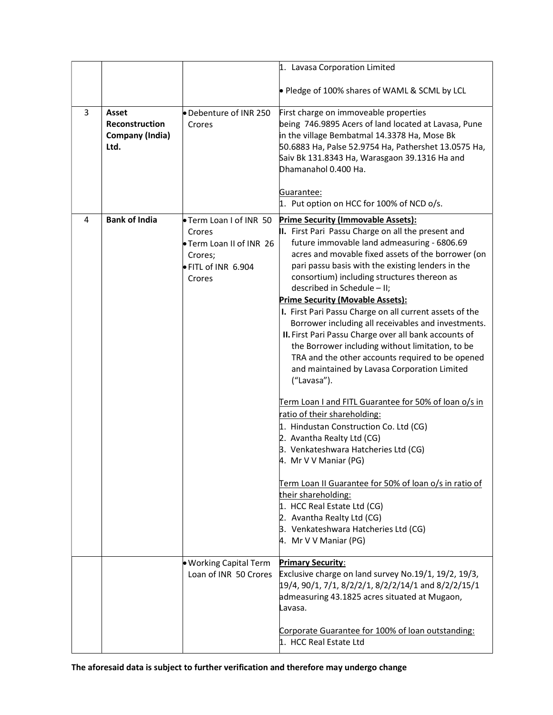|   |                                                                  |                                                                                                     | 1. Lavasa Corporation Limited                                                                                                                                                                                                                                                                                                                                                                                                                                                                                                                                                                                                                                                                                                                                                                                                                                                                                                                                                                                                                                                                                                                                                         |
|---|------------------------------------------------------------------|-----------------------------------------------------------------------------------------------------|---------------------------------------------------------------------------------------------------------------------------------------------------------------------------------------------------------------------------------------------------------------------------------------------------------------------------------------------------------------------------------------------------------------------------------------------------------------------------------------------------------------------------------------------------------------------------------------------------------------------------------------------------------------------------------------------------------------------------------------------------------------------------------------------------------------------------------------------------------------------------------------------------------------------------------------------------------------------------------------------------------------------------------------------------------------------------------------------------------------------------------------------------------------------------------------|
|   |                                                                  |                                                                                                     |                                                                                                                                                                                                                                                                                                                                                                                                                                                                                                                                                                                                                                                                                                                                                                                                                                                                                                                                                                                                                                                                                                                                                                                       |
|   |                                                                  |                                                                                                     | • Pledge of 100% shares of WAML & SCML by LCL                                                                                                                                                                                                                                                                                                                                                                                                                                                                                                                                                                                                                                                                                                                                                                                                                                                                                                                                                                                                                                                                                                                                         |
| 3 | Asset<br><b>Reconstruction</b><br><b>Company (India)</b><br>Ltd. | Debenture of INR 250<br>Crores                                                                      | First charge on immoveable properties<br>being 746.9895 Acers of land located at Lavasa, Pune<br>in the village Bembatmal 14.3378 Ha, Mose Bk<br>50.6883 Ha, Palse 52.9754 Ha, Pathershet 13.0575 Ha,<br>Saiv Bk 131.8343 Ha, Warasgaon 39.1316 Ha and<br>Dhamanahol 0.400 Ha.                                                                                                                                                                                                                                                                                                                                                                                                                                                                                                                                                                                                                                                                                                                                                                                                                                                                                                        |
|   |                                                                  |                                                                                                     | Guarantee:<br>1. Put option on HCC for 100% of NCD o/s.                                                                                                                                                                                                                                                                                                                                                                                                                                                                                                                                                                                                                                                                                                                                                                                                                                                                                                                                                                                                                                                                                                                               |
| 4 | <b>Bank of India</b>                                             | Term Loan I of INR 50<br>Crores<br>Term Loan II of INR 26<br>Crores;<br>FITL of INR 6.904<br>Crores | <b>Prime Security (Immovable Assets):</b><br>II. First Pari Passu Charge on all the present and<br>future immovable land admeasuring - 6806.69<br>acres and movable fixed assets of the borrower (on<br>pari passu basis with the existing lenders in the<br>consortium) including structures thereon as<br>described in Schedule - II;<br><b>Prime Security (Movable Assets):</b><br>I. First Pari Passu Charge on all current assets of the<br>Borrower including all receivables and investments.<br>II. First Pari Passu Charge over all bank accounts of<br>the Borrower including without limitation, to be<br>TRA and the other accounts required to be opened<br>and maintained by Lavasa Corporation Limited<br>("Lavasa").<br>Term Loan I and FITL Guarantee for 50% of loan o/s in<br>ratio of their shareholding:<br>1. Hindustan Construction Co. Ltd (CG)<br>2. Avantha Realty Ltd (CG)<br>3. Venkateshwara Hatcheries Ltd (CG)<br>4. Mr V V Maniar (PG)<br>Term Loan II Guarantee for 50% of loan o/s in ratio of<br>their shareholding:<br>1. HCC Real Estate Ltd (CG)<br>2. Avantha Realty Ltd (CG)<br>B. Venkateshwara Hatcheries Ltd (CG)<br>4. Mr V V Maniar (PG) |
|   |                                                                  | . Working Capital Term<br>Loan of INR 50 Crores                                                     | <b>Primary Security:</b><br>Exclusive charge on land survey No.19/1, 19/2, 19/3,<br>19/4, 90/1, 7/1, 8/2/2/1, 8/2/2/14/1 and 8/2/2/15/1<br>admeasuring 43.1825 acres situated at Mugaon,<br>Lavasa.<br>Corporate Guarantee for 100% of loan outstanding:<br>1. HCC Real Estate Ltd                                                                                                                                                                                                                                                                                                                                                                                                                                                                                                                                                                                                                                                                                                                                                                                                                                                                                                    |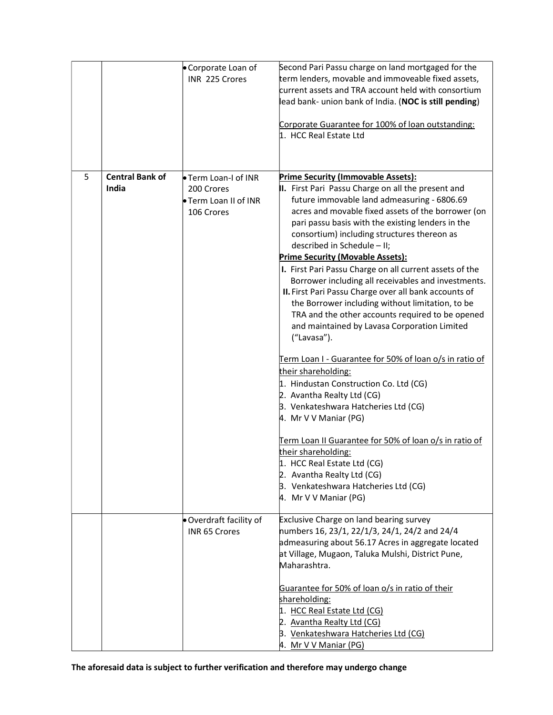|   |                                 | Corporate Loan of<br>INR 225 Crores                                            | Second Pari Passu charge on land mortgaged for the<br>term lenders, movable and immoveable fixed assets,<br>current assets and TRA account held with consortium<br>lead bank- union bank of India. (NOC is still pending)<br>Corporate Guarantee for 100% of loan outstanding:<br>1. HCC Real Estate Ltd                                                                                                                                                                                                                                                                                                                                                                                                                                                                                                                                                                                                                                                                                                                                                                                                                                                                |
|---|---------------------------------|--------------------------------------------------------------------------------|-------------------------------------------------------------------------------------------------------------------------------------------------------------------------------------------------------------------------------------------------------------------------------------------------------------------------------------------------------------------------------------------------------------------------------------------------------------------------------------------------------------------------------------------------------------------------------------------------------------------------------------------------------------------------------------------------------------------------------------------------------------------------------------------------------------------------------------------------------------------------------------------------------------------------------------------------------------------------------------------------------------------------------------------------------------------------------------------------------------------------------------------------------------------------|
| 5 | <b>Central Bank of</b><br>India | <b>• Term Loan-I of INR</b><br>200 Crores<br>Term Loan II of INR<br>106 Crores | Prime Security (Immovable Assets):<br>II. First Pari Passu Charge on all the present and<br>future immovable land admeasuring - 6806.69<br>acres and movable fixed assets of the borrower (on<br>pari passu basis with the existing lenders in the<br>consortium) including structures thereon as<br>described in Schedule - II;<br><b>Prime Security (Movable Assets):</b><br>I. First Pari Passu Charge on all current assets of the<br>Borrower including all receivables and investments.<br>II. First Pari Passu Charge over all bank accounts of<br>the Borrower including without limitation, to be<br>TRA and the other accounts required to be opened<br>and maintained by Lavasa Corporation Limited<br>("Lavasa").<br>Term Loan I - Guarantee for 50% of loan o/s in ratio of<br>their shareholding:<br>1. Hindustan Construction Co. Ltd (CG)<br>2. Avantha Realty Ltd (CG)<br>3. Venkateshwara Hatcheries Ltd (CG)<br>4. Mr V V Maniar (PG)<br>Term Loan II Guarantee for 50% of loan o/s in ratio of<br>their shareholding:<br>1. HCC Real Estate Ltd (CG)<br>2. Avantha Realty Ltd (CG)<br>3. Venkateshwara Hatcheries Ltd (CG)<br>4. Mr V V Maniar (PG) |
|   |                                 | . Overdraft facility of<br><b>INR 65 Crores</b>                                | <b>Exclusive Charge on land bearing survey</b><br>numbers 16, 23/1, 22/1/3, 24/1, 24/2 and 24/4<br>admeasuring about 56.17 Acres in aggregate located<br>at Village, Mugaon, Taluka Mulshi, District Pune,<br>Maharashtra.<br>Guarantee for 50% of loan o/s in ratio of their<br>shareholding:<br>1. HCC Real Estate Ltd (CG)<br>2. Avantha Realty Ltd (CG)<br>3. Venkateshwara Hatcheries Ltd (CG)<br>4. Mr V V Maniar (PG)                                                                                                                                                                                                                                                                                                                                                                                                                                                                                                                                                                                                                                                                                                                                            |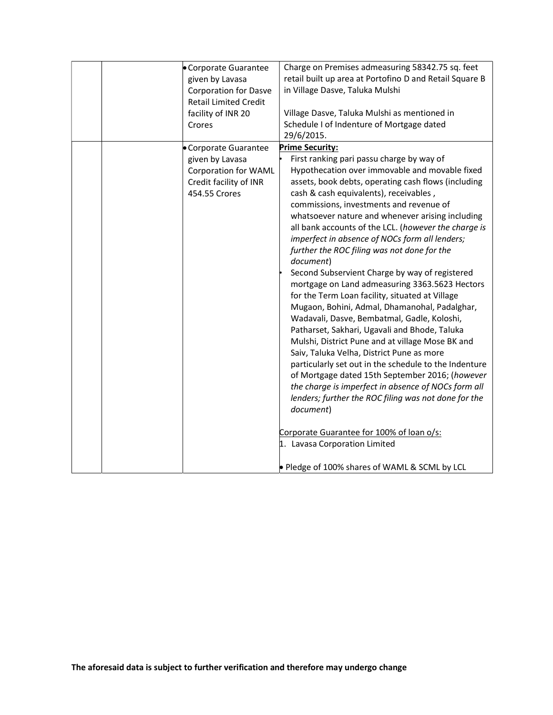| Corporate Guarantee<br>given by Lavasa<br><b>Corporation for Dasve</b><br><b>Retail Limited Credit</b><br>facility of INR 20<br>Crores | Charge on Premises admeasuring 58342.75 sq. feet<br>retail built up area at Portofino D and Retail Square B<br>in Village Dasve, Taluka Mulshi<br>Village Dasve, Taluka Mulshi as mentioned in<br>Schedule I of Indenture of Mortgage dated<br>29/6/2015.                                                                                                                                                                                                                                                                                                                                                                                                                                                                                                                                                                                                                                                                                                                                                                                                                                                                                                                                                                                                                   |
|----------------------------------------------------------------------------------------------------------------------------------------|-----------------------------------------------------------------------------------------------------------------------------------------------------------------------------------------------------------------------------------------------------------------------------------------------------------------------------------------------------------------------------------------------------------------------------------------------------------------------------------------------------------------------------------------------------------------------------------------------------------------------------------------------------------------------------------------------------------------------------------------------------------------------------------------------------------------------------------------------------------------------------------------------------------------------------------------------------------------------------------------------------------------------------------------------------------------------------------------------------------------------------------------------------------------------------------------------------------------------------------------------------------------------------|
| • Corporate Guarantee<br>given by Lavasa<br><b>Corporation for WAML</b><br>Credit facility of INR<br>454.55 Crores                     | <b>Prime Security:</b><br>First ranking pari passu charge by way of<br>Hypothecation over immovable and movable fixed<br>assets, book debts, operating cash flows (including<br>cash & cash equivalents), receivables,<br>commissions, investments and revenue of<br>whatsoever nature and whenever arising including<br>all bank accounts of the LCL. (however the charge is<br>imperfect in absence of NOCs form all lenders;<br>further the ROC filing was not done for the<br>document)<br>Second Subservient Charge by way of registered<br>mortgage on Land admeasuring 3363.5623 Hectors<br>for the Term Loan facility, situated at Village<br>Mugaon, Bohini, Admal, Dhamanohal, Padalghar,<br>Wadavali, Dasve, Bembatmal, Gadle, Koloshi,<br>Patharset, Sakhari, Ugavali and Bhode, Taluka<br>Mulshi, District Pune and at village Mose BK and<br>Saiv, Taluka Velha, District Pune as more<br>particularly set out in the schedule to the Indenture<br>of Mortgage dated 15th September 2016; (however<br>the charge is imperfect in absence of NOCs form all<br>lenders; further the ROC filing was not done for the<br>document)<br>Corporate Guarantee for 100% of loan o/s:<br>1. Lavasa Corporation Limited<br>• Pledge of 100% shares of WAML & SCML by LCL |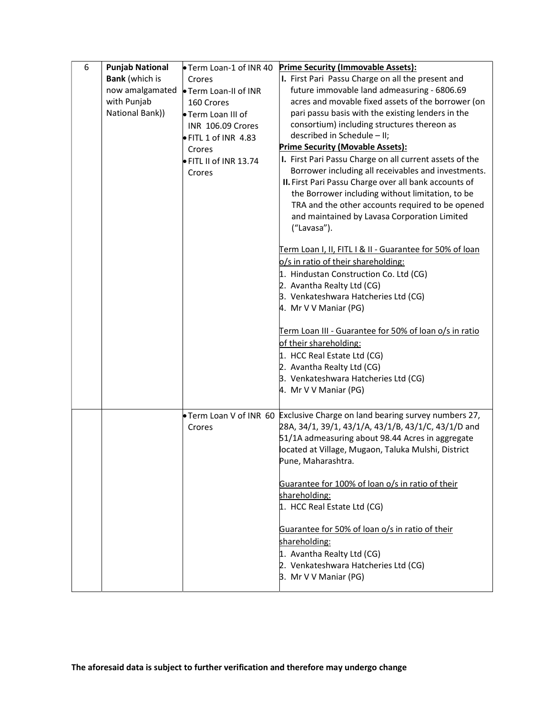| 6 | <b>Punjab National</b> | ● Term Loan-1 of INR 40        | <b>Prime Security (Immovable Assets):</b>                                                                                                                                                                                                                                           |
|---|------------------------|--------------------------------|-------------------------------------------------------------------------------------------------------------------------------------------------------------------------------------------------------------------------------------------------------------------------------------|
|   | <b>Bank</b> (which is  | Crores                         | I. First Pari Passu Charge on all the present and                                                                                                                                                                                                                                   |
|   | now amalgamated        | <b>• Term Loan-II of INR</b>   | future immovable land admeasuring - 6806.69                                                                                                                                                                                                                                         |
|   | with Punjab            | 160 Crores                     | acres and movable fixed assets of the borrower (on                                                                                                                                                                                                                                  |
|   | National Bank))        | • Term Loan III of             | pari passu basis with the existing lenders in the                                                                                                                                                                                                                                   |
|   |                        | INR 106.09 Crores              | consortium) including structures thereon as                                                                                                                                                                                                                                         |
|   |                        | $\bullet$ FITL 1 of INR 4.83   | described in Schedule - II;                                                                                                                                                                                                                                                         |
|   |                        | Crores                         | <b>Prime Security (Movable Assets):</b>                                                                                                                                                                                                                                             |
|   |                        | $\bullet$ FITL II of INR 13.74 | I. First Pari Passu Charge on all current assets of the                                                                                                                                                                                                                             |
|   |                        | Crores                         | Borrower including all receivables and investments.<br>II. First Pari Passu Charge over all bank accounts of<br>the Borrower including without limitation, to be<br>TRA and the other accounts required to be opened<br>and maintained by Lavasa Corporation Limited<br>("Lavasa"). |
|   |                        |                                | Term Loan I, II, FITL I & II - Guarantee for 50% of loan                                                                                                                                                                                                                            |
|   |                        |                                | o/s in ratio of their shareholding:                                                                                                                                                                                                                                                 |
|   |                        |                                | 1. Hindustan Construction Co. Ltd (CG)                                                                                                                                                                                                                                              |
|   |                        |                                | 2. Avantha Realty Ltd (CG)                                                                                                                                                                                                                                                          |
|   |                        |                                | 3. Venkateshwara Hatcheries Ltd (CG)                                                                                                                                                                                                                                                |
|   |                        |                                | 4. Mr V V Maniar (PG)                                                                                                                                                                                                                                                               |
|   |                        |                                |                                                                                                                                                                                                                                                                                     |
|   |                        |                                | Term Loan III - Guarantee for 50% of loan o/s in ratio                                                                                                                                                                                                                              |
|   |                        |                                | of their shareholding:                                                                                                                                                                                                                                                              |
|   |                        |                                | 1. HCC Real Estate Ltd (CG)                                                                                                                                                                                                                                                         |
|   |                        |                                | 2. Avantha Realty Ltd (CG)                                                                                                                                                                                                                                                          |
|   |                        |                                | 3. Venkateshwara Hatcheries Ltd (CG)                                                                                                                                                                                                                                                |
|   |                        |                                | 4. Mr V V Maniar (PG)                                                                                                                                                                                                                                                               |
|   |                        |                                |                                                                                                                                                                                                                                                                                     |
|   |                        | Crores                         | • Term Loan V of INR 60 Exclusive Charge on land bearing survey numbers 27,<br>28A, 34/1, 39/1, 43/1/A, 43/1/B, 43/1/C, 43/1/D and<br>51/1A admeasuring about 98.44 Acres in aggregate<br>located at Village, Mugaon, Taluka Mulshi, District<br>Pune, Maharashtra.                 |
|   |                        |                                | Guarantee for 100% of loan o/s in ratio of their<br>shareholding:<br>1. HCC Real Estate Ltd (CG)                                                                                                                                                                                    |
|   |                        |                                | Guarantee for 50% of loan o/s in ratio of their<br>shareholding:<br>1. Avantha Realty Ltd (CG)<br>2. Venkateshwara Hatcheries Ltd (CG)<br>3. Mr V V Maniar (PG)                                                                                                                     |
|   |                        |                                |                                                                                                                                                                                                                                                                                     |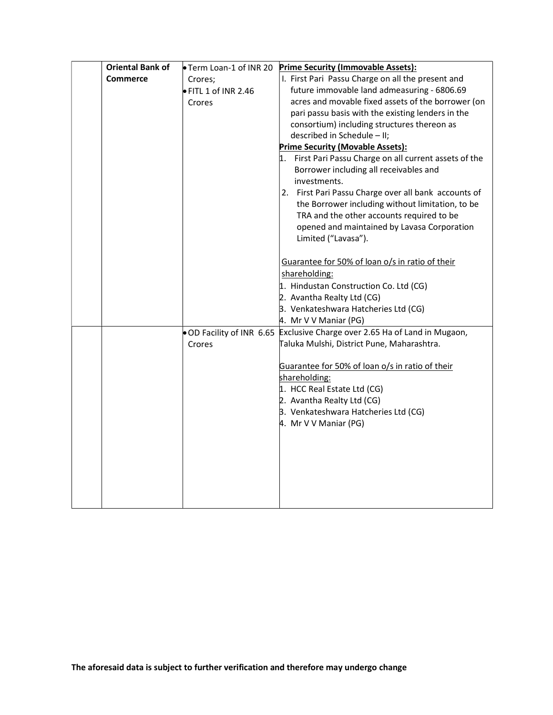| <b>Oriental Bank of</b> | Term Loan-1 of INR 20        | <b>Prime Security (Immovable Assets):</b>                                  |
|-------------------------|------------------------------|----------------------------------------------------------------------------|
| <b>Commerce</b>         | Crores;                      | I. First Pari Passu Charge on all the present and                          |
|                         | $\bullet$ FITL 1 of INR 2.46 | future immovable land admeasuring - 6806.69                                |
|                         | Crores                       | acres and movable fixed assets of the borrower (on                         |
|                         |                              | pari passu basis with the existing lenders in the                          |
|                         |                              | consortium) including structures thereon as                                |
|                         |                              | described in Schedule - II;                                                |
|                         |                              | Prime Security (Movable Assets):                                           |
|                         |                              | 1. First Pari Passu Charge on all current assets of the                    |
|                         |                              | Borrower including all receivables and                                     |
|                         |                              | investments.                                                               |
|                         |                              | 2. First Pari Passu Charge over all bank accounts of                       |
|                         |                              | the Borrower including without limitation, to be                           |
|                         |                              | TRA and the other accounts required to be                                  |
|                         |                              | opened and maintained by Lavasa Corporation                                |
|                         |                              | Limited ("Lavasa").                                                        |
|                         |                              |                                                                            |
|                         |                              | Guarantee for 50% of loan o/s in ratio of their                            |
|                         |                              | shareholding:                                                              |
|                         |                              | 1. Hindustan Construction Co. Ltd (CG)                                     |
|                         |                              | 2. Avantha Realty Ltd (CG)                                                 |
|                         |                              | 3. Venkateshwara Hatcheries Ltd (CG)                                       |
|                         |                              | 4. Mr V V Maniar (PG)                                                      |
|                         |                              | . OD Facility of INR 6.65 Exclusive Charge over 2.65 Ha of Land in Mugaon, |
|                         | Crores                       | Taluka Mulshi, District Pune, Maharashtra.                                 |
|                         |                              |                                                                            |
|                         |                              | Guarantee for 50% of loan o/s in ratio of their                            |
|                         |                              | shareholding:                                                              |
|                         |                              | 1. HCC Real Estate Ltd (CG)                                                |
|                         |                              | 2. Avantha Realty Ltd (CG)                                                 |
|                         |                              | 3. Venkateshwara Hatcheries Ltd (CG)                                       |
|                         |                              | 4. Mr V V Maniar (PG)                                                      |
|                         |                              |                                                                            |
|                         |                              |                                                                            |
|                         |                              |                                                                            |
|                         |                              |                                                                            |
|                         |                              |                                                                            |
|                         |                              |                                                                            |
|                         |                              |                                                                            |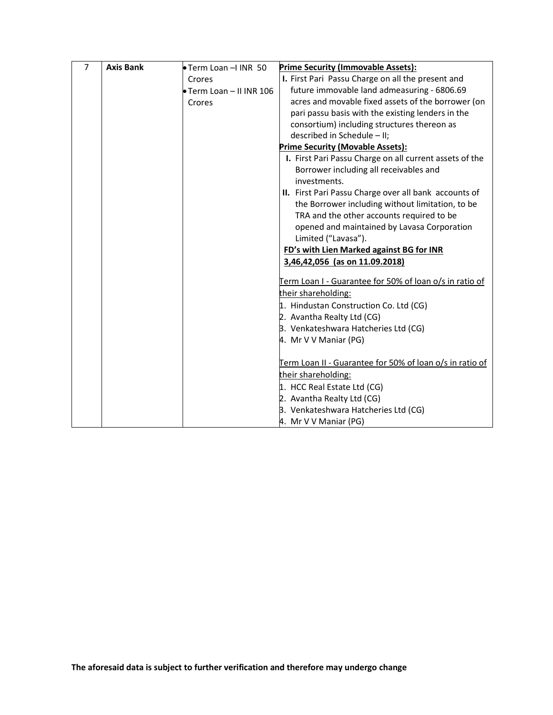| $\overline{7}$ | <b>Axis Bank</b> | Term Loan - IINR 50      | <b>Prime Security (Immovable Assets):</b>                                                         |
|----------------|------------------|--------------------------|---------------------------------------------------------------------------------------------------|
|                |                  | Crores                   | I. First Pari Passu Charge on all the present and                                                 |
|                |                  | • Term Loan – II INR 106 | future immovable land admeasuring - 6806.69                                                       |
|                |                  | Crores                   | acres and movable fixed assets of the borrower (on                                                |
|                |                  |                          | pari passu basis with the existing lenders in the                                                 |
|                |                  |                          | consortium) including structures thereon as                                                       |
|                |                  |                          | described in Schedule - II;                                                                       |
|                |                  |                          | <b>Prime Security (Movable Assets):</b>                                                           |
|                |                  |                          | I. First Pari Passu Charge on all current assets of the<br>Borrower including all receivables and |
|                |                  |                          | investments.                                                                                      |
|                |                  |                          | II. First Pari Passu Charge over all bank accounts of                                             |
|                |                  |                          | the Borrower including without limitation, to be                                                  |
|                |                  |                          | TRA and the other accounts required to be                                                         |
|                |                  |                          | opened and maintained by Lavasa Corporation                                                       |
|                |                  |                          | Limited ("Lavasa").                                                                               |
|                |                  |                          | FD's with Lien Marked against BG for INR                                                          |
|                |                  |                          | 3,46,42,056 (as on 11.09.2018)                                                                    |
|                |                  |                          | Term Loan I - Guarantee for 50% of loan o/s in ratio of                                           |
|                |                  |                          | their shareholding:                                                                               |
|                |                  |                          | 1. Hindustan Construction Co. Ltd (CG)                                                            |
|                |                  |                          | 2. Avantha Realty Ltd (CG)                                                                        |
|                |                  |                          | 3. Venkateshwara Hatcheries Ltd (CG)                                                              |
|                |                  |                          | 4. Mr V V Maniar (PG)                                                                             |
|                |                  |                          | Term Loan II - Guarantee for 50% of loan o/s in ratio of                                          |
|                |                  |                          | their shareholding:                                                                               |
|                |                  |                          | 1. HCC Real Estate Ltd (CG)                                                                       |
|                |                  |                          | 2. Avantha Realty Ltd (CG)                                                                        |
|                |                  |                          | 3. Venkateshwara Hatcheries Ltd (CG)                                                              |
|                |                  |                          | 4. Mr V V Maniar (PG)                                                                             |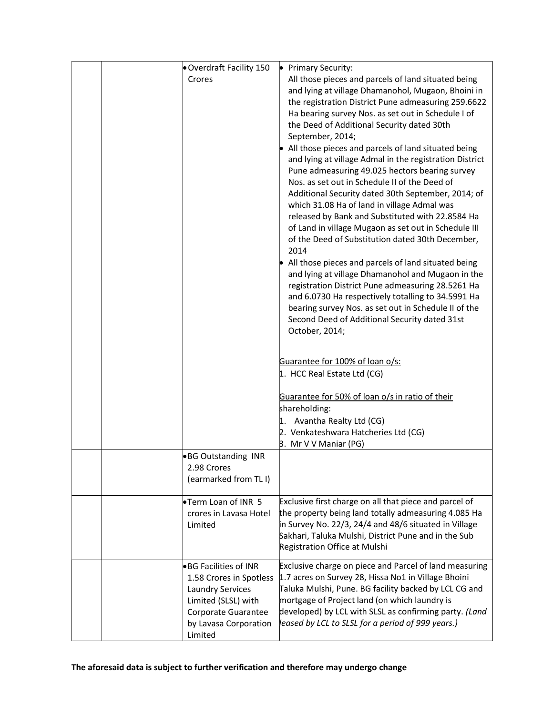| Overdraft Facility 150                                                                                                                                        | Primary Security:                                                                                                                                                                                                                                                                                                                                                                                                                                                                                                                                                                                                                                                                                                                                                                                                                                                                                                                                                                                                                                                                                                                                                                                                                                                                                                |
|---------------------------------------------------------------------------------------------------------------------------------------------------------------|------------------------------------------------------------------------------------------------------------------------------------------------------------------------------------------------------------------------------------------------------------------------------------------------------------------------------------------------------------------------------------------------------------------------------------------------------------------------------------------------------------------------------------------------------------------------------------------------------------------------------------------------------------------------------------------------------------------------------------------------------------------------------------------------------------------------------------------------------------------------------------------------------------------------------------------------------------------------------------------------------------------------------------------------------------------------------------------------------------------------------------------------------------------------------------------------------------------------------------------------------------------------------------------------------------------|
| Crores                                                                                                                                                        | All those pieces and parcels of land situated being<br>and lying at village Dhamanohol, Mugaon, Bhoini in<br>the registration District Pune admeasuring 259.6622<br>Ha bearing survey Nos. as set out in Schedule I of<br>the Deed of Additional Security dated 30th<br>September, 2014;<br>All those pieces and parcels of land situated being<br>and lying at village Admal in the registration District<br>Pune admeasuring 49.025 hectors bearing survey<br>Nos. as set out in Schedule II of the Deed of<br>Additional Security dated 30th September, 2014; of<br>which 31.08 Ha of land in village Admal was<br>released by Bank and Substituted with 22.8584 Ha<br>of Land in village Mugaon as set out in Schedule III<br>of the Deed of Substitution dated 30th December,<br>2014<br>All those pieces and parcels of land situated being<br>and lying at village Dhamanohol and Mugaon in the<br>registration District Pune admeasuring 28.5261 Ha<br>and 6.0730 Ha respectively totalling to 34.5991 Ha<br>bearing survey Nos. as set out in Schedule II of the<br>Second Deed of Additional Security dated 31st<br>October, 2014;<br>Guarantee for 100% of loan o/s:<br>1. HCC Real Estate Ltd (CG)<br>Guarantee for 50% of loan o/s in ratio of their<br>shareholding:<br>1. Avantha Realty Ltd (CG) |
|                                                                                                                                                               | 2. Venkateshwara Hatcheries Ltd (CG)<br>B. Mr V V Maniar (PG)                                                                                                                                                                                                                                                                                                                                                                                                                                                                                                                                                                                                                                                                                                                                                                                                                                                                                                                                                                                                                                                                                                                                                                                                                                                    |
| ●BG Outstanding INR<br>2.98 Crores<br>(earmarked from TL I)                                                                                                   |                                                                                                                                                                                                                                                                                                                                                                                                                                                                                                                                                                                                                                                                                                                                                                                                                                                                                                                                                                                                                                                                                                                                                                                                                                                                                                                  |
| Term Loan of INR 5<br>crores in Lavasa Hotel<br>Limited                                                                                                       | Exclusive first charge on all that piece and parcel of<br>the property being land totally admeasuring 4.085 Ha<br>in Survey No. 22/3, 24/4 and 48/6 situated in Village<br>Sakhari, Taluka Mulshi, District Pune and in the Sub<br>Registration Office at Mulshi                                                                                                                                                                                                                                                                                                                                                                                                                                                                                                                                                                                                                                                                                                                                                                                                                                                                                                                                                                                                                                                 |
| ●BG Facilities of INR<br>1.58 Crores in Spotless<br><b>Laundry Services</b><br>Limited (SLSL) with<br>Corporate Guarantee<br>by Lavasa Corporation<br>Limited | Exclusive charge on piece and Parcel of land measuring<br>1.7 acres on Survey 28, Hissa No1 in Village Bhoini<br>Taluka Mulshi, Pune. BG facility backed by LCL CG and<br>mortgage of Project land (on which laundry is<br>developed) by LCL with SLSL as confirming party. (Land<br>leased by LCL to SLSL for a period of 999 years.)                                                                                                                                                                                                                                                                                                                                                                                                                                                                                                                                                                                                                                                                                                                                                                                                                                                                                                                                                                           |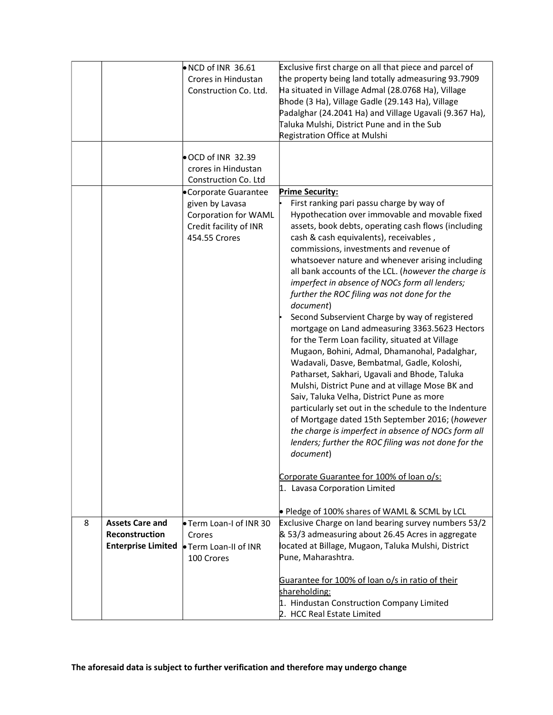|   |                           | $\bullet$ NCD of INR 36.61<br>Crores in Hindustan<br>Construction Co. Ltd.                                                                                                          | Exclusive first charge on all that piece and parcel of<br>the property being land totally admeasuring 93.7909<br>Ha situated in Village Admal (28.0768 Ha), Village<br>Bhode (3 Ha), Village Gadle (29.143 Ha), Village<br>Padalghar (24.2041 Ha) and Village Ugavali (9.367 Ha),<br>Taluka Mulshi, District Pune and in the Sub                                                                                                                                                                                                                                                                                                                                                                                                                                                                                                                                                                                                                                                                 |  |
|---|---------------------------|-------------------------------------------------------------------------------------------------------------------------------------------------------------------------------------|--------------------------------------------------------------------------------------------------------------------------------------------------------------------------------------------------------------------------------------------------------------------------------------------------------------------------------------------------------------------------------------------------------------------------------------------------------------------------------------------------------------------------------------------------------------------------------------------------------------------------------------------------------------------------------------------------------------------------------------------------------------------------------------------------------------------------------------------------------------------------------------------------------------------------------------------------------------------------------------------------|--|
|   |                           |                                                                                                                                                                                     | Registration Office at Mulshi                                                                                                                                                                                                                                                                                                                                                                                                                                                                                                                                                                                                                                                                                                                                                                                                                                                                                                                                                                    |  |
|   |                           | OCD of INR 32.39<br>crores in Hindustan<br>Construction Co. Ltd<br>Corporate Guarantee<br>given by Lavasa<br><b>Corporation for WAML</b><br>Credit facility of INR<br>454.55 Crores | <b>Prime Security:</b><br>First ranking pari passu charge by way of<br>Hypothecation over immovable and movable fixed<br>assets, book debts, operating cash flows (including<br>cash & cash equivalents), receivables,                                                                                                                                                                                                                                                                                                                                                                                                                                                                                                                                                                                                                                                                                                                                                                           |  |
|   |                           |                                                                                                                                                                                     | commissions, investments and revenue of<br>whatsoever nature and whenever arising including<br>all bank accounts of the LCL. (however the charge is<br>imperfect in absence of NOCs form all lenders;<br>further the ROC filing was not done for the<br>document)<br>Second Subservient Charge by way of registered<br>mortgage on Land admeasuring 3363.5623 Hectors<br>for the Term Loan facility, situated at Village<br>Mugaon, Bohini, Admal, Dhamanohal, Padalghar,<br>Wadavali, Dasve, Bembatmal, Gadle, Koloshi,<br>Patharset, Sakhari, Ugavali and Bhode, Taluka<br>Mulshi, District Pune and at village Mose BK and<br>Saiv, Taluka Velha, District Pune as more<br>particularly set out in the schedule to the Indenture<br>of Mortgage dated 15th September 2016; (however<br>the charge is imperfect in absence of NOCs form all<br>lenders; further the ROC filing was not done for the<br>document)<br>Corporate Guarantee for 100% of loan o/s:<br>1. Lavasa Corporation Limited |  |
|   |                           |                                                                                                                                                                                     |                                                                                                                                                                                                                                                                                                                                                                                                                                                                                                                                                                                                                                                                                                                                                                                                                                                                                                                                                                                                  |  |
|   |                           |                                                                                                                                                                                     | • Pledge of 100% shares of WAML & SCML by LCL                                                                                                                                                                                                                                                                                                                                                                                                                                                                                                                                                                                                                                                                                                                                                                                                                                                                                                                                                    |  |
| 8 | <b>Assets Care and</b>    | Term Loan-I of INR 30                                                                                                                                                               | Exclusive Charge on land bearing survey numbers 53/2                                                                                                                                                                                                                                                                                                                                                                                                                                                                                                                                                                                                                                                                                                                                                                                                                                                                                                                                             |  |
|   | Reconstruction            | Crores                                                                                                                                                                              | & 53/3 admeasuring about 26.45 Acres in aggregate                                                                                                                                                                                                                                                                                                                                                                                                                                                                                                                                                                                                                                                                                                                                                                                                                                                                                                                                                |  |
|   | <b>Enterprise Limited</b> | • Term Loan-II of INR                                                                                                                                                               | located at Billage, Mugaon, Taluka Mulshi, District                                                                                                                                                                                                                                                                                                                                                                                                                                                                                                                                                                                                                                                                                                                                                                                                                                                                                                                                              |  |
|   |                           | 100 Crores                                                                                                                                                                          | Pune, Maharashtra.                                                                                                                                                                                                                                                                                                                                                                                                                                                                                                                                                                                                                                                                                                                                                                                                                                                                                                                                                                               |  |
|   |                           |                                                                                                                                                                                     | Guarantee for 100% of loan o/s in ratio of their<br>shareholding:<br>1. Hindustan Construction Company Limited<br>2. HCC Real Estate Limited                                                                                                                                                                                                                                                                                                                                                                                                                                                                                                                                                                                                                                                                                                                                                                                                                                                     |  |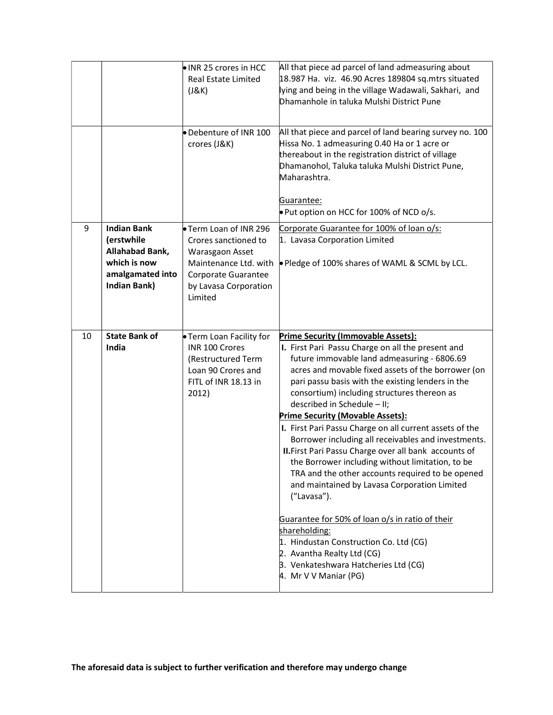|    |                                                                                                                | INR 25 crores in HCC<br>Real Estate Limited<br>(J&K)<br>Debenture of INR 100<br>crores (J&K)                                                        | All that piece ad parcel of land admeasuring about<br>18.987 Ha. viz. 46.90 Acres 189804 sq.mtrs situated<br>lying and being in the village Wadawali, Sakhari, and<br>Dhamanhole in taluka Mulshi District Pune<br>All that piece and parcel of land bearing survey no. 100<br>Hissa No. 1 admeasuring 0.40 Ha or 1 acre or<br>thereabout in the registration district of village<br>Dhamanohol, Taluka taluka Mulshi District Pune,<br>Maharashtra.<br>Guarantee:<br>. Put option on HCC for 100% of NCD o/s.                                                                                                                                                                                                                                                                                                                                                                                                                                   |
|----|----------------------------------------------------------------------------------------------------------------|-----------------------------------------------------------------------------------------------------------------------------------------------------|--------------------------------------------------------------------------------------------------------------------------------------------------------------------------------------------------------------------------------------------------------------------------------------------------------------------------------------------------------------------------------------------------------------------------------------------------------------------------------------------------------------------------------------------------------------------------------------------------------------------------------------------------------------------------------------------------------------------------------------------------------------------------------------------------------------------------------------------------------------------------------------------------------------------------------------------------|
| 9  | <b>Indian Bank</b><br>(erstwhile<br>Allahabad Bank,<br>which is now<br>amalgamated into<br><b>Indian Bank)</b> | Term Loan of INR 296<br>Crores sanctioned to<br>Warasgaon Asset<br>Maintenance Ltd. with<br>Corporate Guarantee<br>by Lavasa Corporation<br>Limited | Corporate Guarantee for 100% of loan o/s:<br>1. Lavasa Corporation Limited<br>▶ Pledge of 100% shares of WAML & SCML by LCL.                                                                                                                                                                                                                                                                                                                                                                                                                                                                                                                                                                                                                                                                                                                                                                                                                     |
| 10 | <b>State Bank of</b><br>India                                                                                  | • Term Loan Facility for<br>INR 100 Crores<br>(Restructured Term<br>Loan 90 Crores and<br>FITL of INR 18.13 in<br>2012)                             | <b>Prime Security (Immovable Assets):</b><br>I. First Pari Passu Charge on all the present and<br>future immovable land admeasuring - 6806.69<br>acres and movable fixed assets of the borrower (on<br>pari passu basis with the existing lenders in the<br>consortium) including structures thereon as<br>described in Schedule - II;<br><b>Prime Security (Movable Assets):</b><br>I. First Pari Passu Charge on all current assets of the<br>Borrower including all receivables and investments.<br>II. First Pari Passu Charge over all bank accounts of<br>the Borrower including without limitation, to be<br>TRA and the other accounts required to be opened<br>and maintained by Lavasa Corporation Limited<br>("Lavasa").<br>Guarantee for 50% of loan o/s in ratio of their<br>shareholding:<br>1. Hindustan Construction Co. Ltd (CG)<br>2. Avantha Realty Ltd (CG)<br>3. Venkateshwara Hatcheries Ltd (CG)<br>4. Mr V V Maniar (PG) |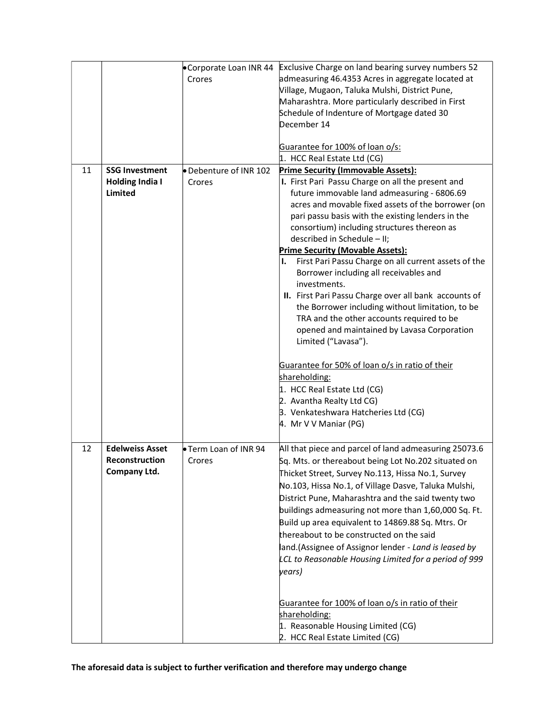|    |                        |                        | •Corporate Loan INR 44 Exclusive Charge on land bearing survey numbers 52  |
|----|------------------------|------------------------|----------------------------------------------------------------------------|
|    |                        | Crores                 | admeasuring 46.4353 Acres in aggregate located at                          |
|    |                        |                        | Village, Mugaon, Taluka Mulshi, District Pune,                             |
|    |                        |                        | Maharashtra. More particularly described in First                          |
|    |                        |                        | Schedule of Indenture of Mortgage dated 30                                 |
|    |                        |                        | December 14                                                                |
|    |                        |                        |                                                                            |
|    |                        |                        | Guarantee for 100% of loan o/s:                                            |
|    |                        |                        | 1. HCC Real Estate Ltd (CG)                                                |
| 11 | <b>SSG Investment</b>  | ● Debenture of INR 102 | <b>Prime Security (Immovable Assets):</b>                                  |
|    | <b>Holding India I</b> | Crores                 | I. First Pari Passu Charge on all the present and                          |
|    | Limited                |                        | future immovable land admeasuring - 6806.69                                |
|    |                        |                        | acres and movable fixed assets of the borrower (on                         |
|    |                        |                        | pari passu basis with the existing lenders in the                          |
|    |                        |                        | consortium) including structures thereon as<br>described in Schedule - II; |
|    |                        |                        | <b>Prime Security (Movable Assets):</b>                                    |
|    |                        |                        | First Pari Passu Charge on all current assets of the<br>ı.                 |
|    |                        |                        | Borrower including all receivables and                                     |
|    |                        |                        | investments.                                                               |
|    |                        |                        | II. First Pari Passu Charge over all bank accounts of                      |
|    |                        |                        | the Borrower including without limitation, to be                           |
|    |                        |                        | TRA and the other accounts required to be                                  |
|    |                        |                        | opened and maintained by Lavasa Corporation                                |
|    |                        |                        | Limited ("Lavasa").                                                        |
|    |                        |                        |                                                                            |
|    |                        |                        | Guarantee for 50% of loan o/s in ratio of their                            |
|    |                        |                        | shareholding:                                                              |
|    |                        |                        | 1. HCC Real Estate Ltd (CG)                                                |
|    |                        |                        | 2. Avantha Realty Ltd CG)                                                  |
|    |                        |                        | 3. Venkateshwara Hatcheries Ltd (CG)                                       |
|    |                        |                        | 4. Mr V V Maniar (PG)                                                      |
|    |                        |                        |                                                                            |
| 12 | <b>Edelweiss Asset</b> | Term Loan of INR 94    | All that piece and parcel of land admeasuring 25073.6                      |
|    | Reconstruction         | Crores                 | Sq. Mts. or thereabout being Lot No.202 situated on                        |
|    | Company Ltd.           |                        | Thicket Street, Survey No.113, Hissa No.1, Survey                          |
|    |                        |                        | No.103, Hissa No.1, of Village Dasve, Taluka Mulshi,                       |
|    |                        |                        | District Pune, Maharashtra and the said twenty two                         |
|    |                        |                        | buildings admeasuring not more than 1,60,000 Sq. Ft.                       |
|    |                        |                        | Build up area equivalent to 14869.88 Sq. Mtrs. Or                          |
|    |                        |                        | thereabout to be constructed on the said                                   |
|    |                        |                        | land.(Assignee of Assignor lender - Land is leased by                      |
|    |                        |                        | LCL to Reasonable Housing Limited for a period of 999                      |
|    |                        |                        | years)                                                                     |
|    |                        |                        |                                                                            |
|    |                        |                        |                                                                            |
|    |                        |                        | Guarantee for 100% of loan o/s in ratio of their                           |
|    |                        |                        | shareholding:                                                              |
|    |                        |                        | 1. Reasonable Housing Limited (CG)                                         |
|    |                        |                        | 2. HCC Real Estate Limited (CG)                                            |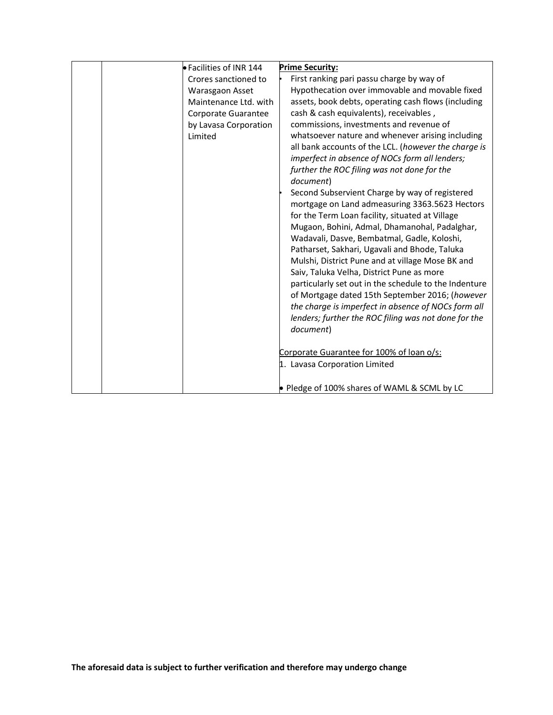| <b>• Facilities of INR 144</b> | <b>Prime Security:</b>                                |
|--------------------------------|-------------------------------------------------------|
| Crores sanctioned to           | First ranking pari passu charge by way of             |
| Warasgaon Asset                | Hypothecation over immovable and movable fixed        |
| Maintenance Ltd. with          | assets, book debts, operating cash flows (including   |
| Corporate Guarantee            | cash & cash equivalents), receivables,                |
| by Lavasa Corporation          | commissions, investments and revenue of               |
| Limited                        | whatsoever nature and whenever arising including      |
|                                | all bank accounts of the LCL. (however the charge is  |
|                                | imperfect in absence of NOCs form all lenders;        |
|                                | further the ROC filing was not done for the           |
|                                | document)                                             |
|                                | Second Subservient Charge by way of registered        |
|                                | mortgage on Land admeasuring 3363.5623 Hectors        |
|                                | for the Term Loan facility, situated at Village       |
|                                | Mugaon, Bohini, Admal, Dhamanohal, Padalghar,         |
|                                | Wadavali, Dasve, Bembatmal, Gadle, Koloshi,           |
|                                | Patharset, Sakhari, Ugavali and Bhode, Taluka         |
|                                | Mulshi, District Pune and at village Mose BK and      |
|                                | Saiv, Taluka Velha, District Pune as more             |
|                                | particularly set out in the schedule to the Indenture |
|                                | of Mortgage dated 15th September 2016; (however       |
|                                | the charge is imperfect in absence of NOCs form all   |
|                                | lenders; further the ROC filing was not done for the  |
|                                | document)                                             |
|                                |                                                       |
|                                | Corporate Guarantee for 100% of loan o/s:             |
|                                | 1. Lavasa Corporation Limited                         |
|                                |                                                       |
|                                | • Pledge of 100% shares of WAML & SCML by LC          |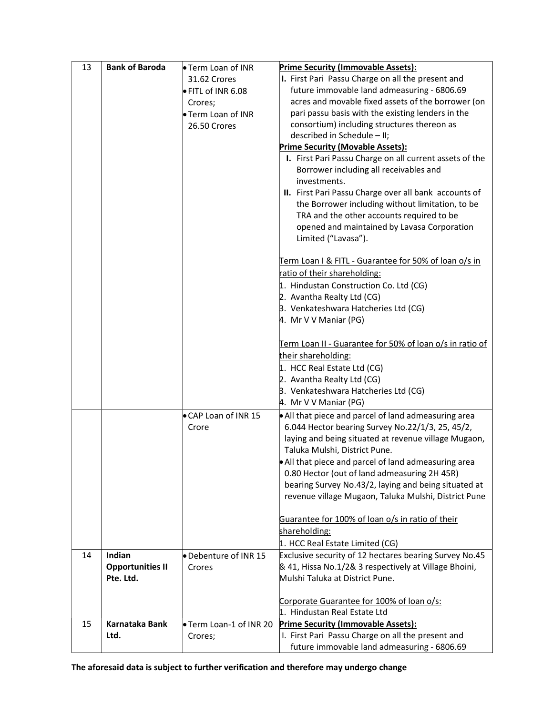| 13 | <b>Bank of Baroda</b>   | ● Term Loan of INR    | <b>Prime Security (Immovable Assets):</b>                |
|----|-------------------------|-----------------------|----------------------------------------------------------|
|    |                         | 31.62 Crores          | I. First Pari Passu Charge on all the present and        |
|    |                         | ● FITL of INR 6.08    | future immovable land admeasuring - 6806.69              |
|    |                         | Crores;               | acres and movable fixed assets of the borrower (on       |
|    |                         | Term Loan of INR      | pari passu basis with the existing lenders in the        |
|    |                         | 26.50 Crores          | consortium) including structures thereon as              |
|    |                         |                       | described in Schedule - II;                              |
|    |                         |                       | <b>Prime Security (Movable Assets):</b>                  |
|    |                         |                       | I. First Pari Passu Charge on all current assets of the  |
|    |                         |                       | Borrower including all receivables and                   |
|    |                         |                       | investments.                                             |
|    |                         |                       | II. First Pari Passu Charge over all bank accounts of    |
|    |                         |                       | the Borrower including without limitation, to be         |
|    |                         |                       | TRA and the other accounts required to be                |
|    |                         |                       | opened and maintained by Lavasa Corporation              |
|    |                         |                       | Limited ("Lavasa").                                      |
|    |                         |                       | Term Loan I & FITL - Guarantee for 50% of loan o/s in    |
|    |                         |                       | ratio of their shareholding:                             |
|    |                         |                       | 1. Hindustan Construction Co. Ltd (CG)                   |
|    |                         |                       | 2. Avantha Realty Ltd (CG)                               |
|    |                         |                       | 3. Venkateshwara Hatcheries Ltd (CG)                     |
|    |                         |                       | 4. Mr V V Maniar (PG)                                    |
|    |                         |                       |                                                          |
|    |                         |                       | Term Loan II - Guarantee for 50% of loan o/s in ratio of |
|    |                         |                       | their shareholding:                                      |
|    |                         |                       | 1. HCC Real Estate Ltd (CG)                              |
|    |                         |                       | 2. Avantha Realty Ltd (CG)                               |
|    |                         |                       | 3. Venkateshwara Hatcheries Ltd (CG)                     |
|    |                         |                       | 4. Mr V V Maniar (PG)                                    |
|    |                         | CAP Loan of INR 15    | • All that piece and parcel of land admeasuring area     |
|    |                         | Crore                 | 6.044 Hector bearing Survey No.22/1/3, 25, 45/2,         |
|    |                         |                       | laying and being situated at revenue village Mugaon,     |
|    |                         |                       | Taluka Mulshi, District Pune.                            |
|    |                         |                       | • All that piece and parcel of land admeasuring area     |
|    |                         |                       | 0.80 Hector (out of land admeasuring 2H 45R)             |
|    |                         |                       | bearing Survey No.43/2, laying and being situated at     |
|    |                         |                       | revenue village Mugaon, Taluka Mulshi, District Pune     |
|    |                         |                       | Guarantee for 100% of loan o/s in ratio of their         |
|    |                         |                       | shareholding:                                            |
|    |                         |                       | 1. HCC Real Estate Limited (CG)                          |
| 14 | Indian                  | Debenture of INR 15   | Exclusive security of 12 hectares bearing Survey No.45   |
|    | <b>Opportunities II</b> | Crores                | & 41, Hissa No.1/2& 3 respectively at Village Bhoini,    |
|    | Pte. Ltd.               |                       | Mulshi Taluka at District Pune.                          |
|    |                         |                       |                                                          |
|    |                         |                       | Corporate Guarantee for 100% of loan o/s:                |
|    |                         |                       | 1. Hindustan Real Estate Ltd                             |
| 15 | <b>Karnataka Bank</b>   | Term Loan-1 of INR 20 | <b>Prime Security (Immovable Assets):</b>                |
|    | Ltd.                    | Crores;               | I. First Pari Passu Charge on all the present and        |
|    |                         |                       | future immovable land admeasuring - 6806.69              |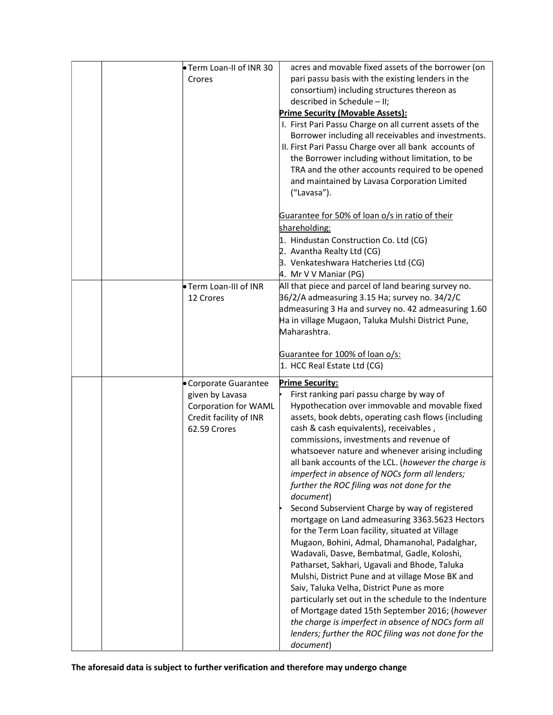| Term Loan-II of INR 30                                                                                            | acres and movable fixed assets of the borrower (on                                                                                                                                                                                                                                                                                                                                                                                                                                                                                                                                                                                                                                                                                                                                                                                                                                                                                                                                                                                                                                                                                           |
|-------------------------------------------------------------------------------------------------------------------|----------------------------------------------------------------------------------------------------------------------------------------------------------------------------------------------------------------------------------------------------------------------------------------------------------------------------------------------------------------------------------------------------------------------------------------------------------------------------------------------------------------------------------------------------------------------------------------------------------------------------------------------------------------------------------------------------------------------------------------------------------------------------------------------------------------------------------------------------------------------------------------------------------------------------------------------------------------------------------------------------------------------------------------------------------------------------------------------------------------------------------------------|
| Crores                                                                                                            | pari passu basis with the existing lenders in the<br>consortium) including structures thereon as<br>described in Schedule - II;<br><b>Prime Security (Movable Assets):</b><br>I. First Pari Passu Charge on all current assets of the                                                                                                                                                                                                                                                                                                                                                                                                                                                                                                                                                                                                                                                                                                                                                                                                                                                                                                        |
|                                                                                                                   | Borrower including all receivables and investments.<br>II. First Pari Passu Charge over all bank accounts of<br>the Borrower including without limitation, to be<br>TRA and the other accounts required to be opened<br>and maintained by Lavasa Corporation Limited<br>("Lavasa").                                                                                                                                                                                                                                                                                                                                                                                                                                                                                                                                                                                                                                                                                                                                                                                                                                                          |
|                                                                                                                   | Guarantee for 50% of loan o/s in ratio of their<br>shareholding:<br>1. Hindustan Construction Co. Ltd (CG)<br>2. Avantha Realty Ltd (CG)<br>3. Venkateshwara Hatcheries Ltd (CG)<br>4. Mr V V Maniar (PG)                                                                                                                                                                                                                                                                                                                                                                                                                                                                                                                                                                                                                                                                                                                                                                                                                                                                                                                                    |
| Term Loan-III of INR<br>12 Crores                                                                                 | All that piece and parcel of land bearing survey no.<br>36/2/A admeasuring 3.15 Ha; survey no. 34/2/C<br>admeasuring 3 Ha and survey no. 42 admeasuring 1.60<br>Ha in village Mugaon, Taluka Mulshi District Pune,<br>Maharashtra.                                                                                                                                                                                                                                                                                                                                                                                                                                                                                                                                                                                                                                                                                                                                                                                                                                                                                                           |
|                                                                                                                   | Guarantee for 100% of loan o/s:<br>1. HCC Real Estate Ltd (CG)                                                                                                                                                                                                                                                                                                                                                                                                                                                                                                                                                                                                                                                                                                                                                                                                                                                                                                                                                                                                                                                                               |
| • Corporate Guarantee<br>given by Lavasa<br><b>Corporation for WAML</b><br>Credit facility of INR<br>62.59 Crores | <b>Prime Security:</b><br>First ranking pari passu charge by way of<br>Hypothecation over immovable and movable fixed<br>assets, book debts, operating cash flows (including<br>cash & cash equivalents), receivables,<br>commissions, investments and revenue of<br>whatsoever nature and whenever arising including<br>all bank accounts of the LCL. (however the charge is<br>imperfect in absence of NOCs form all lenders;<br>further the ROC filing was not done for the<br>document)<br>Second Subservient Charge by way of registered<br>mortgage on Land admeasuring 3363.5623 Hectors<br>for the Term Loan facility, situated at Village<br>Mugaon, Bohini, Admal, Dhamanohal, Padalghar,<br>Wadavali, Dasve, Bembatmal, Gadle, Koloshi,<br>Patharset, Sakhari, Ugavali and Bhode, Taluka<br>Mulshi, District Pune and at village Mose BK and<br>Saiv, Taluka Velha, District Pune as more<br>particularly set out in the schedule to the Indenture<br>of Mortgage dated 15th September 2016; (however<br>the charge is imperfect in absence of NOCs form all<br>lenders; further the ROC filing was not done for the<br>document) |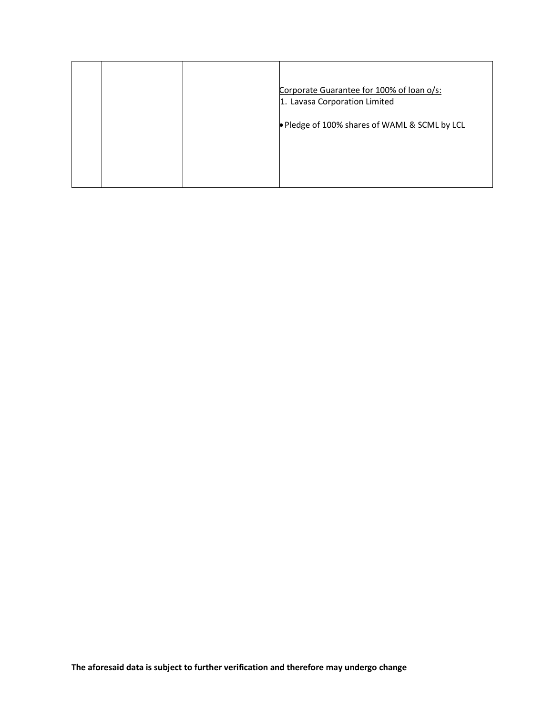|  | Corporate Guarantee for 100% of loan o/s:<br>1. Lavasa Corporation Limited |
|--|----------------------------------------------------------------------------|
|  | • Pledge of 100% shares of WAML & SCML by LCL                              |
|  |                                                                            |
|  |                                                                            |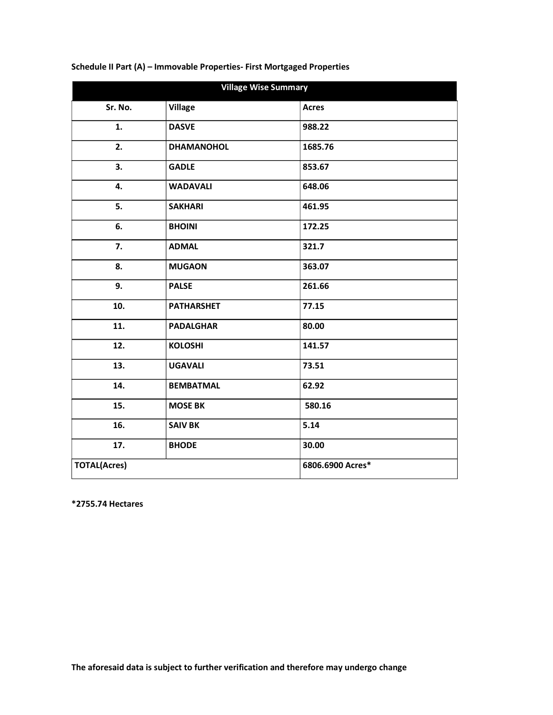| <b>Village Wise Summary</b> |                   |                  |
|-----------------------------|-------------------|------------------|
| Sr. No.                     | <b>Village</b>    | <b>Acres</b>     |
| 1.                          | <b>DASVE</b>      | 988.22           |
| 2.                          | <b>DHAMANOHOL</b> | 1685.76          |
| 3.                          | <b>GADLE</b>      | 853.67           |
| 4.                          | <b>WADAVALI</b>   | 648.06           |
| 5.                          | <b>SAKHARI</b>    | 461.95           |
| 6.                          | <b>BHOINI</b>     | 172.25           |
| 7.                          | <b>ADMAL</b>      | 321.7            |
| 8.                          | <b>MUGAON</b>     | 363.07           |
| 9.                          | <b>PALSE</b>      | 261.66           |
| 10.                         | <b>PATHARSHET</b> | 77.15            |
| 11.                         | <b>PADALGHAR</b>  | 80.00            |
| 12.                         | <b>KOLOSHI</b>    | 141.57           |
| 13.                         | <b>UGAVALI</b>    | 73.51            |
| 14.                         | <b>BEMBATMAL</b>  | 62.92            |
| 15.                         | <b>MOSE BK</b>    | 580.16           |
| 16.                         | <b>SAIV BK</b>    | 5.14             |
| 17.                         | <b>BHODE</b>      | 30.00            |
| <b>TOTAL(Acres)</b>         |                   | 6806.6900 Acres* |

## Schedule II Part (A) – Immovable Properties- First Mortgaged Properties

\*2755.74 Hectares